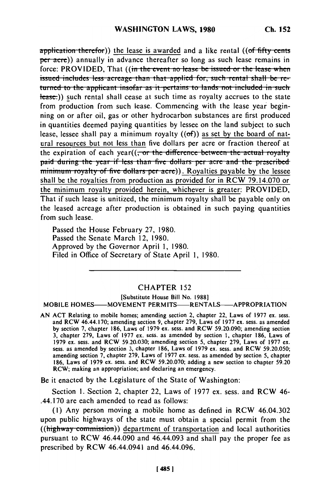**application therefor)** the lease is awarded and a like rental ((of fifty cents per acre)) annually in advance thereafter so long as such lease remains in force: PROVIDED, That ((in the event no lease be issued or the lease when issued includes less acreage than that applied for, such rental shall be re**turned to the applicant insofar as it pertains to lands not included in such** Hease.)) such rental shall cease at such time as royalty accrues to the state from production from such lease. Commencing with the lease year beginning on or after oil, gas or other hydrocarbon substances are first produced in quantities deemed paying quantities by lessee on the land subject to such lease, lessee shall pay a minimum royalty  $( (of) )$  as set by the board of natural resources but not less than five dollars per acre or fraction thereof at the expiration of each year((<del>, or the difference between the actual royalty</del> paid during the year if less than five dollars per acre and the prescribed *minimum royalty of five dollars per acre*)). Royalties payable by the lessee shall be the royalties from production as provided for in RCW 79.14.070 or the minimum royalty provided herein, whichever is greater: PROVIDED, That if such lease is unitized, the minimum royalty shall be payable only on the leased acreage after production is obtained in such paying quantities from such lease.

Passed the House February 27, 1980. Passed the Senate March 12, 1980. Approved by the Governor April 1, 1980. Filed in Office of Secretary of State April 1, 1980.

## CHAPTER 152

[Substitute House Bill No. 1988] MOBILE HOMES-MOVEMENT PERMITS-RENTALS-APPROPRIATION

AN ACT Relating to mobile homes; amending section 2, chapter 22, Laws of 1977 ex. sess. and RCW 46.44.170; amending section 9, chapter 279, Laws of 1977 ex. sess. as amended by section 7, chapter 186, Laws of 1979 ex. sess. and RCW 59.20.090; amending section by section  $\ell_2$ , chapter 160, Laws of 1979 ex. sess. and RCW 39.20.090; amending section  $2\ell_1$  $1979, 1979, 1979, 1977, 1977, 279.38$  and RCW 59.2003; as amended by section 1, chapter 180, Laws of 1978 ex. Section 4, chapter 180, Laws of 1978 ex. 1979 ex. sess. and RCW 59.20.030; amending section 5, chapter 279, Laws of 1977 ex. sess. as amended by section 3, chapter 186, Laws of 1979 ex. sess. and RCW 59.20.050; amending section 7, chapter 279, Laws of 1977 ex. sess. as amended by section 5, chapter 186, Laws of 1979 ex. sess. and RCW 59.20.070; adding a new section to chapter 59.20 RCW; making an appropriation; and declaring an emergency.

Be it enacted by the Legislature of the State of Washington:

Section 1. Section 2, chapter 22, Laws of 1977 ex. sess. and RCW 46- .44.170 are each amended to read as follows:

**(1)** Any person moving a mobile home as defined in RCW 46.04.302 upon public highways of the state must obtain a special permit from the  $((\text{highway commission})$  department of transportation and local authorities pursuant to RCW 46.44.090 and 46.44.093 and shall pay the proper fee as prescribed by RCW 46.44.0941 and 46.44.096.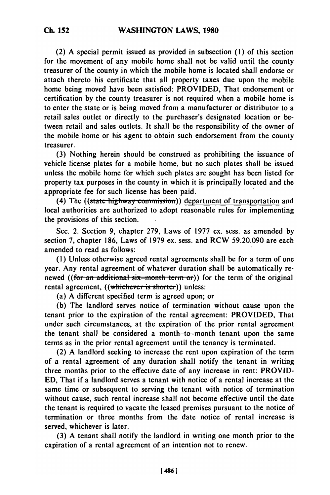(2) A special permit issued as provided in subsection **(1)** of this section for the movement of any mobile home shall not be valid until the county treasurer of the county in which the mobile home is located shall endorse or attach thereto his certificate that all property taxes due upon the mobile home being moved have been satisfied: PROVIDED, That endorsement or certification **by** the county treasurer is not required when a mobile home is to enter the state or is being moved from a manufacturer or distributor to a

retail sales outlet or directly to the purchaser's designated location or between retail and sales outlets. It shall be the responsibility of the owner of the mobile home or his agent to obtain such endorsement from the county treasurer.

**(3)** Nothing herein should be construed as prohibiting the issuance of vehicle license plates for a mobile home, but no such plates shall be issued unless the mobile home for which such plates are sought has been listed for property tax purposes in the county in which it is principally located and the appropriate fee for such license has been paid.

(4) The ((state highway commission)) department of transportation and local authorities are authorized to adopt reasonable rules for implementing the provisions of this section.

Sec. 2. Section 9, chapter 279, Laws of **1977** ex. sess. as amended by section **7,** chapter 186, Laws of 1979 ex. sess. and RCW 59.20.090 are each amended to read as follows:

**(1)** Unless otherwise agreed rental agreements shall be for a term of one year. Any rental agreement of whatever duration shall be automatically renewed ((for an additional six-month term or)) for the term of the original rental agreement, ((whichever is shorter)) unless:

(a) A different specified term is agreed upon; or

(b) The landlord serves notice of termination without cause upon the tenant prior to the expiration of the rental agreement: PROVIDED, That under such circumstances, at the expiration of the prior rental agreement the tenant shall be considered a month-to-month tenant upon the same terms as in the prior rental agreement until the tenancy is terminated.

(2) A landlord seeking to increase the rent upon expiration of the term of a rental agreement of any duration shall notify the tenant in writing three months prior to the effective date of any increase in rent: PROVID-**ED,** That if a landlord serves a tenant with notice of a rental increase at the same time or subsequent to serving the tenant with notice of termination without cause, such rental increase shall not become effective until the date the tenant is required to vacate the leased premises pursuant to the notice of termination or three months from the date notice of rental increase is served, whichever is later.

(3) A tenant shall notify the landlord in writing one month prior to the expiration of a rental agreement of an intention not to renew.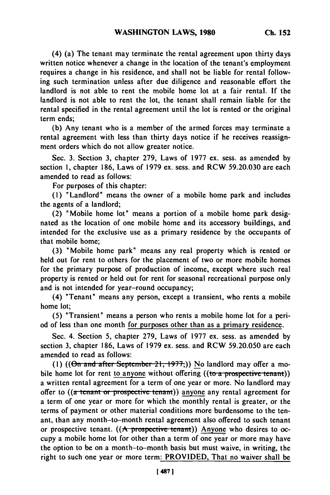(4) (a) The tenant may terminate the rental agreement upon thirty days written notice whenever a change in the location of the tenant's employment requires a change in his residence, and shall not be liable for rental following such termination unless after due diligence and reasonable effort the landlord is not able to rent the mobile home lot at a fair rental. If the landlord is not able to rent the lot, the tenant shall remain liable for the rental specified in the rental agreement until the lot is rented or the original term ends;

(b) Any tenant who is a member of the armed forces may terminate a rental agreement with less than thirty days notice if he receives reassignment orders which do not allow greater notice.

Sec. 3. Section 3, chapter 279, Laws of 1977 ex. sess. as amended by section 1, chapter 186, Laws of 1979 ex. sess. and RCW 59.20.030 are each amended to read as follows:

For purposes of this chapter:

**(1)** "Landlord" means the owner of a mobile home park and includes the agents of a landlord;

(2) "Mobile home lot" means a portion of a mobile home park designated as the location of one mobile home and its accessory buildings, and intended for the exclusive use as a primary residence by the occupants of that mobile home;

(3) "Mobile home park" means any real property which is rented or held out for rent to others for the placement of two or more mobile homes for the primary purpose of production of income, except where such real property is rented or held out for rent for seasonal recreational purpose only and is not intended for year-round occupancy;

(4) "Tenant" means any person, except a transient, who rents a mobile home lot;

(5) "Transient" means a person who rents a mobile home lot for a period of less than one month for purposes other than as a primary residence.

Sec. 4. Section 5, chapter 279, Laws of 1977 ex. sess. as amended by section 3, chapter 186, Laws of 1979 ex. sess. and RCW 59.20.050 are each amended to read as follows:

(1)  $((\Theta n \text{ and after September 21, 1977}))$  No landlord may offer a mobile home lot for rent to anyone without offering  $((to a \n<sub>prospective</sub> tenant))$ a written rental agreement for a term of one year or more. No landlord may offer to ((a tenant or prospective tenant)) anyone any rental agreement for a term of one year or more for which the monthly rental is greater, or the terms of payment or other material conditions more burdensome to the tenant, than any month-to-month rental agreement also offered to such tenant or prospective tenant.  $((A \text{ prospective team}))$  Anyone who desires to occupy a mobile home lot for other than a term of one year or more may have the option to be on a month-to-month basis but must waive, in writing, the right to such one year or more term: PROVIDED, That no waiver shall be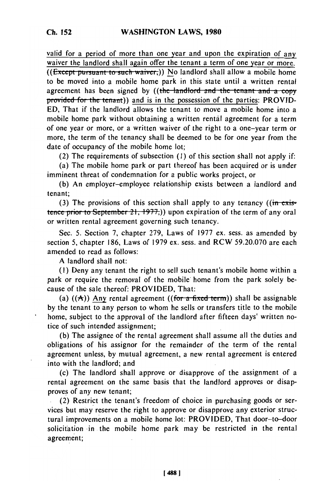valid for a period of more than one year and upon the expiration of any waiver the landlord shall again offer the tenant a term of one year or more. ((Except pursuant to such waiver,)) No landlord shall allow a mobile home to be moved into a mobile home park in this state until a written rental agreement has been signed by ((the landlord and the tenant and a copy provided for the tenant)) and is in the possession of the parties: PROVID-**ED,** That if the landlord allows the tenant to move a mobile home into a mobile home park without obtaining a written rentdl agreement for a term of one year or more, or a written waiver of the right to a one-year term or more, the term of the tenancy shall be deemed to be for one year from the date of occupancy of the mobile home lot;

(2) The requirements of subsection (I) of this section shall not apply if:

(a) The mobile home park or part thereof has been acquired or is under imminent threat of condemnation for a public works project, or

(b) An employer-employee relationship exists between a landlord and tenant;

(3) The provisions of this section shall apply to any tenancy  $((\text{in}{\text{exis}}$ tence prior to September  $21$ ,  $1977$ ,)) upon expiration of the term of any oral or written rental agreement governing such tenancy.

Sec. 5. Section 7, chapter 279, Laws of 1977 ex. sess. as amended by section 5, chapter 186, Laws of 1979 ex. sess. and RCW 59.20.070 are each amended to read as follows:

A landlord shall not:

(I) Deny any tenant the right to sell such tenant's mobile home within a park or require the removal of the mobile home from the park solely because of the sale thereof: PROVIDED, That:

(a)  $((A))$  Any rental agreement  $((for a fixed term))$  shall be assignable by the tenant to any person to whom he sells or transfers title to the mobile home, subject to the approval of the landlord after fifteen days' written notice of such intended assignment;

(b) The assignee of the rental agreement shall assume all the duties and obligations of his assignor for the remainder of the term of the rental agreement unless, by mutual agreement, a new rental agreement is entered into with the landlord; and

(c) The landlord shall approve or disapprove of the assignment of a rental agreement on the same basis that the landlord approves or disapproves of any new tenant;

(2) Restrict the tenant's freedom of choice in purchasing goods or services but may reserve the right to approve or disapprove any exterior structural improvements on a mobile home lot: PROVIDED, That door-to-door solicitation in the mobile home park may be restricted in the rental agreement;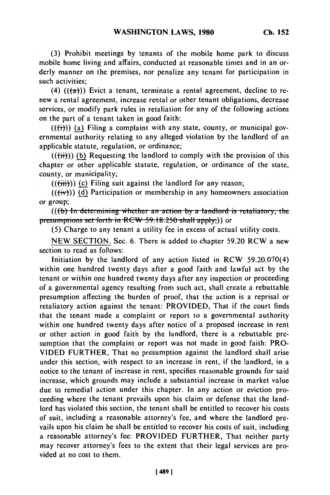**(3)** Prohibit meetings by tenants of the mobile home park to discuss mobile home living and affairs, conducted at reasonable times and in an orderly manner on the premises, nor penalize any tenant for participation in such activities:

(4)  $((a+1))$  Evict a tenant, terminate a rental agreement, decline to renew a rental agreement, increase rental or other tenant obligations, decrease services, or modify park rules in retaliation for any of the following actions on the part of a tenant taken in good faith:

 $((\overrightarrow{ii}))$  (a) Filing a complaint with any state, county, or municipal governmental authority relating to any alleged violation by the landlord of an applicable statute, regulation, or ordinance;

 $((\text{iii}))$  (b) Requesting the landlord to comply with the provision of this chapter or other applicable statute, regulation, or ordinance of the state, county, or municipality;

 $((\overrightarrow{tii}))$  (c) Filing suit against the landlord for any reason;

 $((**(iv)**))$  (d) Participation or membership in any homeowners association or group;

**(((b) In determining whether an action by a landlord is retaliatory, the presumptions set forth in RCW-59.18.250 shall apply;)) or** 

**(5)** Charge to any tenant a utility fee in excess of actual utility costs.

NEW SECTION. Sec. 6. There is added to chapter 59.20 RCW a new section to read as follows:

Initiation by the landlord of any action listed in RCW 59.20.070(4) within one hundred twenty days after a good faith and lawful act by the tenant or within one hundred twenty days after any inspection or proceeding of a governmental agency resulting from such act, shall create a rebuttable presumption affecting the burden of proof, that the action is a reprisal or retaliatory action against the tenant: PROVIDED, That if the court finds that the tenant made a complaint or report to a governmental authority within one hundred twenty days after notice of a proposed increase in rent or other action in good faith by the landlord, there is a rebuttable presumption that the complaint or report was not made in good faith: PRO-VIDED FURTHER, That no presumption against the landlord shall arise under this section, with respect to an increase in rent, if the landlord, in a notice to the tenant of increase in rent, specifies reasonable grounds for said increase, which grounds may include a substantial increase in market value due to remedial action under this chapter. In any action or eviction proceeding where the tenant prevails upon his claim or defense that the landlord has violated this section, the tenant shall be entitled to recover his costs of suit, including a reasonable attorney's fee, and where the landlord prevails upon his claim he shall be entitled to recover his costs of suit, including a reasonable attorney's fee: PROVIDED FURTHER, That neither party may recover attorney's fees to the extent that their legal services are provided at no cost to them.